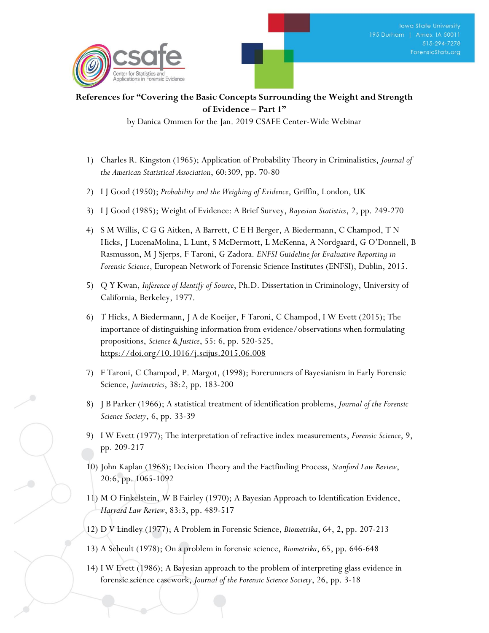## **References for "Covering the Basic Concepts Surrounding the Weight and Strength of Evidence – Part 1"**

by Danica Ommen for the Jan. 2019 CSAFE Center-Wide Webinar

- 1) Charles R. Kingston (1965); Application of Probability Theory in Criminalistics, *Journal of the American Statistical Association*, 60:309, pp. 70-80
- 2) I J Good (1950); *Probability and the Weighing of Evidence*, Griffin, London, UK
- 3) I J Good (1985); Weight of Evidence: A Brief Survey, *Bayesian Statistics*, 2, pp. 249-270
- 4) S M Willis, C G G Aitken, A Barrett, C E H Berger, A Biedermann, C Champod, T N Hicks, J LucenaMolina, L Lunt, S McDermott, L McKenna, A Nordgaard, G O'Donnell, B Rasmusson, M J Sjerps, F Taroni, G Zadora. *ENFSI Guideline for Evaluative Reporting in Forensic Science*, European Network of Forensic Science Institutes (ENFSI), Dublin, 2015.
- 5) Q Y Kwan, *Inference of Identify of Source*, Ph.D. Dissertation in Criminology, University of California, Berkeley, 1977.
- 6) T Hicks, A Biedermann, J A de Koeijer, F Taroni, C Champod, I W Evett (2015); The importance of distinguishing information from evidence/observations when formulating propositions, *Science & Justice*, 55: 6, pp. 520-525, <https://doi.org/10.1016/j.scijus.2015.06.008>
- 7) F Taroni, C Champod, P. Margot, (1998); Forerunners of Bayesianism in Early Forensic Science, *Jurimetrics*, 38:2, pp. 183-200
- 8) J B Parker (1966); A statistical treatment of identification problems, *Journal of the Forensic Science Society*, 6, pp. 33-39
- 9) I W Evett (1977); The interpretation of refractive index measurements, *Forensic Science*, 9, pp. 209-217
- 10) John Kaplan (1968); Decision Theory and the Factfinding Process, *Stanford Law Review*, 20:6, pp. 1065-1092
- 11) M O Finkelstein, W B Fairley (1970); A Bayesian Approach to Identification Evidence, *Harvard Law Review*, 83:3, pp. 489-517
- 12) D V Lindley (1977); A Problem in Forensic Science, *Biometrika*, 64, 2, pp. 207-213
- 13) A Seheult (1978); On a problem in forensic science, *Biometrika*, 65, pp. 646-648
- 14) I W Evett (1986); A Bayesian approach to the problem of interpreting glass evidence in forensic science casework, *Journal of the Forensic Science Society*, 26, pp. 3-18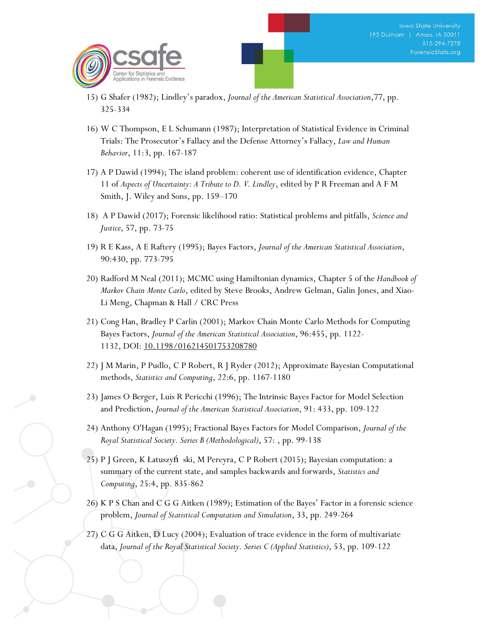- 15) G Shafer (1982); Lindley's paradox, *Journal of the American Statistical Association*,77, pp. 325-334
- 16) W C Thompson, E L Schumann (1987); Interpretation of Statistical Evidence in Criminal Trials: The Prosecutor's Fallacy and the Defense Attorney's Fallacy, *Law and Human Behavior*, 11:3, pp. 167-187
- 17) A P Dawid (1994); The island problem: coherent use of identification evidence, Chapter 11 of *Aspects of Uncertainty: A Tribute to D. V. Lindley*, edited by P R Freeman and A F M Smith, J. Wiley and Sons, pp. 159–170
- 18) A P Dawid (2017); Forensic likelihood ratio: Statistical problems and pitfalls, *Science and Justice*, 57, pp. 73-75
- 19) R E Kass, A E Raftery (1995); Bayes Factors, *Journal of the American Statistical Association*, 90:430, pp. 773-795
- 20) Radford M Neal (2011); MCMC using Hamiltonian dynamics, Chapter 5 of the *Handbook of Markov Chain Monte Carlo*, edited by Steve Brooks, Andrew Gelman, Galin Jones, and Xiao-Li Meng, Chapman & Hall / CRC Press
- 21) Cong Han, Bradley P Carlin (2001); Markov Chain Monte Carlo Methods for Computing Bayes Factors, *Journal of the American Statistical Association*, 96:455, pp. 1122- 1132, DOI: [10.1198/016214501753208780](https://doi.org/10.1198/016214501753208780)
- 22) J M Marin, P Pudlo, C P Robert, R J Ryder (2012); Approximate Bayesian Computational methods, *Statistics and Computing*, 22:6, pp. 1167-1180
- 23) James O Berger, Luis R Pericchi (1996); The Intrinsic Bayes Factor for Model Selection and Prediction, *Journal of the American Statistical Association*, 91: 433, pp. 109-122
- 24) Anthony O'Hagan (1995); Fractional Bayes Factors for Model Comparison, *Journal of the Royal Statistical Society. Series B (Methodological)*, 57: , pp. 99-138
- 25) P J Green, K Łatuszyń ski, M Pereyra, C P Robert (2015); Bayesian computation: a summary of the current state, and samples backwards and forwards, *Statistics and Computing*, 25:4, pp. 835-862
- 26) K P S Chan and C G G Aitken (1989); Estimation of the Bayes' Factor in a forensic science problem, *Journal of Statistical Computation and Simulation*, 33, pp. 249-264
- 27) C G G Aitken, D Lucy (2004); Evaluation of trace evidence in the form of multivariate data, *Journal of the Royal Statistical Society. Series C (Applied Statistics)*, 53, pp. 109-122